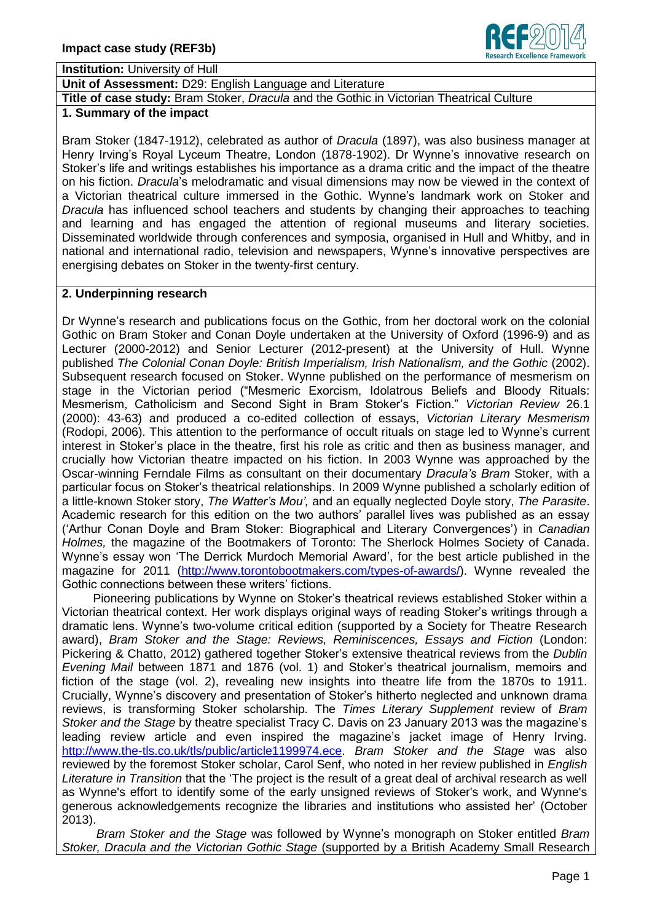

**Institution:** University of Hull

**Unit of Assessment:** D29: English Language and Literature

**Title of case study:** Bram Stoker, *Dracula* and the Gothic in Victorian Theatrical Culture

## **1. Summary of the impact**

Bram Stoker (1847-1912), celebrated as author of *Dracula* (1897), was also business manager at Henry Irving's Royal Lyceum Theatre, London (1878-1902). Dr Wynne's innovative research on Stoker's life and writings establishes his importance as a drama critic and the impact of the theatre on his fiction. *Dracula*'s melodramatic and visual dimensions may now be viewed in the context of a Victorian theatrical culture immersed in the Gothic. Wynne's landmark work on Stoker and *Dracula* has influenced school teachers and students by changing their approaches to teaching and learning and has engaged the attention of regional museums and literary societies. Disseminated worldwide through conferences and symposia, organised in Hull and Whitby, and in national and international radio, television and newspapers, Wynne's innovative perspectives are energising debates on Stoker in the twenty-first century.

## **2. Underpinning research**

Dr Wynne's research and publications focus on the Gothic, from her doctoral work on the colonial Gothic on Bram Stoker and Conan Doyle undertaken at the University of Oxford (1996-9) and as Lecturer (2000-2012) and Senior Lecturer (2012-present) at the University of Hull. Wynne published *The Colonial Conan Doyle: British Imperialism, Irish Nationalism, and the Gothic* (2002). Subsequent research focused on Stoker. Wynne published on the performance of mesmerism on stage in the Victorian period ("Mesmeric Exorcism, Idolatrous Beliefs and Bloody Rituals: Mesmerism, Catholicism and Second Sight in Bram Stoker's Fiction." *Victorian Review* 26.1 (2000): 43-63) and produced a co-edited collection of essays, *Victorian Literary Mesmerism*  (Rodopi, 2006). This attention to the performance of occult rituals on stage led to Wynne's current interest in Stoker's place in the theatre, first his role as critic and then as business manager, and crucially how Victorian theatre impacted on his fiction. In 2003 Wynne was approached by the Oscar-winning Ferndale Films as consultant on their documentary *Dracula's Bram* Stoker, with a particular focus on Stoker's theatrical relationships. In 2009 Wynne published a scholarly edition of a little-known Stoker story, *The Watter's Mou',* and an equally neglected Doyle story, *The Parasite*. Academic research for this edition on the two authors' parallel lives was published as an essay ('Arthur Conan Doyle and Bram Stoker: Biographical and Literary Convergences') in *Canadian Holmes,* the magazine of the Bootmakers of Toronto: The Sherlock Holmes Society of Canada. Wynne's essay won 'The Derrick Murdoch Memorial Award', for the best article published in the magazine for 2011 [\(http://www.torontobootmakers.com/types-of-awards/\)](http://www.torontobootmakers.com/types-of-awards/). Wynne revealed the Gothic connections between these writers' fictions.

Pioneering publications by Wynne on Stoker's theatrical reviews established Stoker within a Victorian theatrical context. Her work displays original ways of reading Stoker's writings through a dramatic lens. Wynne's two-volume critical edition (supported by a Society for Theatre Research award), *Bram Stoker and the Stage: Reviews, Reminiscences, Essays and Fiction* (London: Pickering & Chatto, 2012) gathered together Stoker's extensive theatrical reviews from the *Dublin Evening Mail* between 1871 and 1876 (vol. 1) and Stoker's theatrical journalism, memoirs and fiction of the stage (vol. 2), revealing new insights into theatre life from the 1870s to 1911. Crucially, Wynne's discovery and presentation of Stoker's hitherto neglected and unknown drama reviews, is transforming Stoker scholarship. The *Times Literary Supplement* review of *Bram Stoker and the Stage* by theatre specialist Tracy C. Davis on 23 January 2013 was the magazine's leading review article and even inspired the magazine's jacket image of Henry Irving. [http://www.the-tls.co.uk/tls/public/article1199974.ece.](http://www.the-tls.co.uk/tls/public/article1199974.ece) *Bram Stoker and the Stage* was also reviewed by the foremost Stoker scholar, Carol Senf, who noted in her review published in *English Literature in Transition* that the 'The project is the result of a great deal of archival research as well as Wynne's effort to identify some of the early unsigned reviews of Stoker's work, and Wynne's generous acknowledgements recognize the libraries and institutions who assisted her' (October 2013).

*Bram Stoker and the Stage* was followed by Wynne's monograph on Stoker entitled *Bram Stoker, Dracula and the Victorian Gothic Stage* (supported by a British Academy Small Research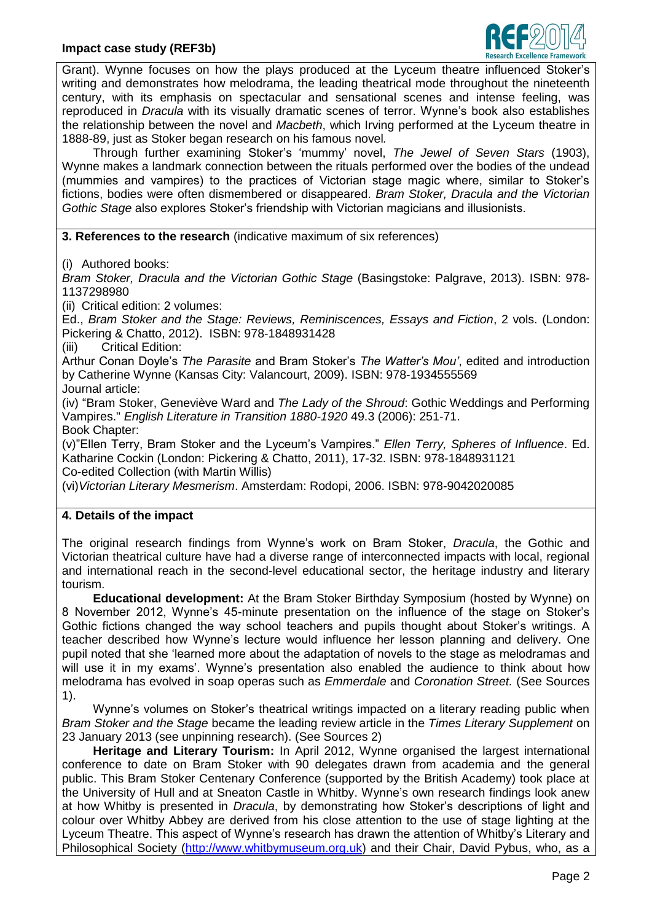

Grant). Wynne focuses on how the plays produced at the Lyceum theatre influenced Stoker's writing and demonstrates how melodrama, the leading theatrical mode throughout the nineteenth century, with its emphasis on spectacular and sensational scenes and intense feeling, was reproduced in *Dracula* with its visually dramatic scenes of terror. Wynne's book also establishes the relationship between the novel and *Macbeth*, which Irving performed at the Lyceum theatre in 1888-89, just as Stoker began research on his famous novel*.*

Through further examining Stoker's 'mummy' novel, *The Jewel of Seven Stars* (1903), Wynne makes a landmark connection between the rituals performed over the bodies of the undead (mummies and vampires) to the practices of Victorian stage magic where, similar to Stoker's fictions, bodies were often dismembered or disappeared. *Bram Stoker, Dracula and the Victorian Gothic Stage* also explores Stoker's friendship with Victorian magicians and illusionists.

**3. References to the research** (indicative maximum of six references)

(i) Authored books:

*Bram Stoker, Dracula and the Victorian Gothic Stage* (Basingstoke: Palgrave, 2013). ISBN: 978- 1137298980

(ii) Critical edition: 2 volumes:

Ed., *Bram Stoker and the Stage: Reviews, Reminiscences, Essays and Fiction*, 2 vols. (London: Pickering & Chatto, 2012). ISBN: 978-1848931428

(iii) Critical Edition:

Arthur Conan Doyle's *The Parasite* and Bram Stoker's *The Watter's Mou'*, edited and introduction by Catherine Wynne (Kansas City: Valancourt, 2009). ISBN: 978-1934555569 Journal article:

(iv) "Bram Stoker, Geneviève Ward and *The Lady of the Shroud*: Gothic Weddings and Performing Vampires." *English Literature in Transition 1880-1920* 49.3 (2006): 251-71.

Book Chapter:

(v)"Ellen Terry, Bram Stoker and the Lyceum's Vampires." *Ellen Terry, Spheres of Influence*. Ed. Katharine Cockin (London: Pickering & Chatto, 2011), 17-32. ISBN: 978-1848931121 Co-edited Collection (with Martin Willis)

(vi)*Victorian Literary Mesmerism*. Amsterdam: Rodopi, 2006. ISBN: 978-9042020085

## **4. Details of the impact**

The original research findings from Wynne's work on Bram Stoker, *Dracula*, the Gothic and Victorian theatrical culture have had a diverse range of interconnected impacts with local, regional and international reach in the second-level educational sector, the heritage industry and literary tourism.

**Educational development:** At the Bram Stoker Birthday Symposium (hosted by Wynne) on 8 November 2012, Wynne's 45-minute presentation on the influence of the stage on Stoker's Gothic fictions changed the way school teachers and pupils thought about Stoker's writings. A teacher described how Wynne's lecture would influence her lesson planning and delivery. One pupil noted that she 'learned more about the adaptation of novels to the stage as melodramas and will use it in my exams'. Wynne's presentation also enabled the audience to think about how melodrama has evolved in soap operas such as *Emmerdale* and *Coronation Street.* (See Sources 1).

Wynne's volumes on Stoker's theatrical writings impacted on a literary reading public when *Bram Stoker and the Stage* became the leading review article in the *Times Literary Supplement* on 23 January 2013 (see unpinning research). (See Sources 2)

**Heritage and Literary Tourism:** In April 2012, Wynne organised the largest international conference to date on Bram Stoker with 90 delegates drawn from academia and the general public. This Bram Stoker Centenary Conference (supported by the British Academy) took place at the University of Hull and at Sneaton Castle in Whitby. Wynne's own research findings look anew at how Whitby is presented in *Dracula*, by demonstrating how Stoker's descriptions of light and colour over Whitby Abbey are derived from his close attention to the use of stage lighting at the Lyceum Theatre. This aspect of Wynne's research has drawn the attention of Whitby's Literary and Philosophical Society [\(http://www.whitbymuseum.org.uk\)](http://www.whitbymuseum.org.uk/) and their Chair, David Pybus, who, as a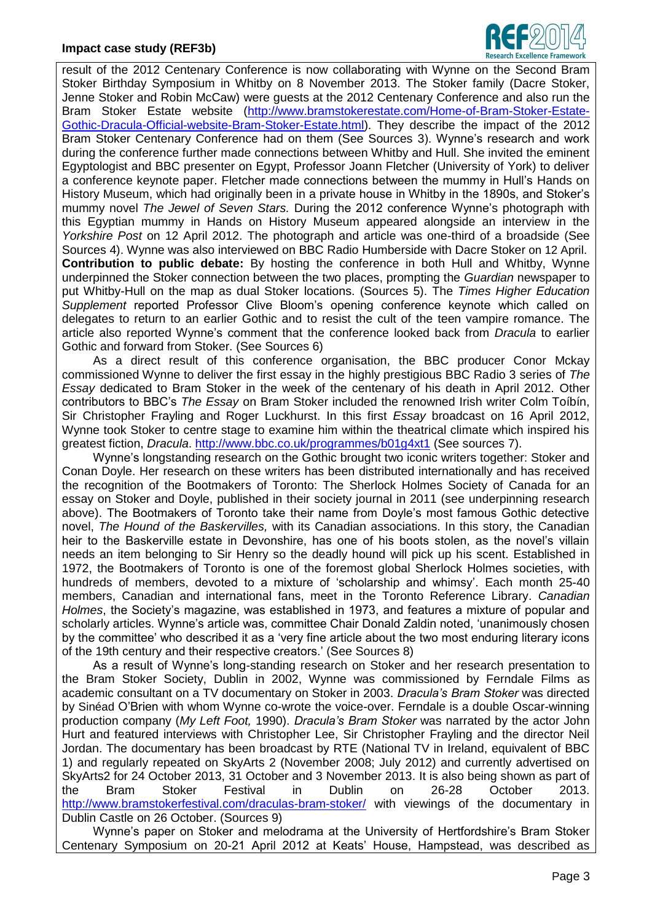

result of the 2012 Centenary Conference is now collaborating with Wynne on the Second Bram Stoker Birthday Symposium in Whitby on 8 November 2013. The Stoker family (Dacre Stoker, Jenne Stoker and Robin McCaw) were guests at the 2012 Centenary Conference and also run the Bram Stoker Estate website [\(http://www.bramstokerestate.com/Home-of-Bram-Stoker-Estate-](http://www.bramstokerestate.com/Home-of-Bram-Stoker-Estate-Gothic-Dracula-Official-website-Bram-Stoker-Estate.html)[Gothic-Dracula-Official-website-Bram-Stoker-Estate.html\)](http://www.bramstokerestate.com/Home-of-Bram-Stoker-Estate-Gothic-Dracula-Official-website-Bram-Stoker-Estate.html). They describe the impact of the 2012 Bram Stoker Centenary Conference had on them (See Sources 3). Wynne's research and work during the conference further made connections between Whitby and Hull. She invited the eminent Egyptologist and BBC presenter on Egypt, Professor Joann Fletcher (University of York) to deliver a conference keynote paper. Fletcher made connections between the mummy in Hull's Hands on History Museum, which had originally been in a private house in Whitby in the 1890s, and Stoker's mummy novel *The Jewel of Seven Stars.* During the 2012 conference Wynne's photograph with this Egyptian mummy in Hands on History Museum appeared alongside an interview in the *Yorkshire Post* on 12 April 2012. The photograph and article was one-third of a broadside (See Sources 4). Wynne was also interviewed on BBC Radio Humberside with Dacre Stoker on 12 April. **Contribution to public debate:** By hosting the conference in both Hull and Whitby, Wynne underpinned the Stoker connection between the two places, prompting the *Guardian* newspaper to put Whitby-Hull on the map as dual Stoker locations. (Sources 5). The *Times Higher Education Supplement* reported Professor Clive Bloom's opening conference keynote which called on delegates to return to an earlier Gothic and to resist the cult of the teen vampire romance. The article also reported Wynne's comment that the conference looked back from *Dracula* to earlier Gothic and forward from Stoker. (See Sources 6)

As a direct result of this conference organisation, the BBC producer Conor Mckay commissioned Wynne to deliver the first essay in the highly prestigious BBC Radio 3 series of *The Essay* dedicated to Bram Stoker in the week of the centenary of his death in April 2012. Other contributors to BBC's *The Essay* on Bram Stoker included the renowned Irish writer Colm Toíbín, Sir Christopher Frayling and Roger Luckhurst. In this first *Essay* broadcast on 16 April 2012, Wynne took Stoker to centre stage to examine him within the theatrical climate which inspired his greatest fiction, *Dracula*.<http://www.bbc.co.uk/programmes/b01g4xt1> (See sources 7).

Wynne's longstanding research on the Gothic brought two iconic writers together: Stoker and Conan Doyle. Her research on these writers has been distributed internationally and has received the recognition of the Bootmakers of Toronto: The Sherlock Holmes Society of Canada for an essay on Stoker and Doyle, published in their society journal in 2011 (see underpinning research above). The Bootmakers of Toronto take their name from Doyle's most famous Gothic detective novel, *The Hound of the Baskervilles,* with its Canadian associations. In this story, the Canadian heir to the Baskerville estate in Devonshire, has one of his boots stolen, as the novel's villain needs an item belonging to Sir Henry so the deadly hound will pick up his scent. Established in 1972, the Bootmakers of Toronto is one of the foremost global Sherlock Holmes societies, with hundreds of members, devoted to a mixture of 'scholarship and whimsy'. Each month 25-40 members, Canadian and international fans, meet in the Toronto Reference Library. *Canadian Holmes*, the Society's magazine, was established in 1973, and features a mixture of popular and scholarly articles. Wynne's article was, committee Chair Donald Zaldin noted, 'unanimously chosen by the committee' who described it as a 'very fine article about the two most enduring literary icons of the 19th century and their respective creators.' (See Sources 8)

As a result of Wynne's long-standing research on Stoker and her research presentation to the Bram Stoker Society, Dublin in 2002, Wynne was commissioned by Ferndale Films as academic consultant on a TV documentary on Stoker in 2003. *Dracula's Bram Stoker* was directed by Sinéad O'Brien with whom Wynne co-wrote the voice-over. Ferndale is a double Oscar-winning production company (*My Left Foot,* 1990). *Dracula's Bram Stoker* was narrated by the actor John Hurt and featured interviews with Christopher Lee, Sir Christopher Frayling and the director Neil Jordan. The documentary has been broadcast by RTE (National TV in Ireland, equivalent of BBC 1) and regularly repeated on SkyArts 2 (November 2008; July 2012) and currently advertised on SkyArts2 for 24 October 2013, 31 October and 3 November 2013. It is also being shown as part of the Bram Stoker Festival in Dublin on 26-28 October 2013. <http://www.bramstokerfestival.com/draculas-bram-stoker/> with viewings of the documentary in Dublin Castle on 26 October. (Sources 9)

Wynne's paper on Stoker and melodrama at the University of Hertfordshire's Bram Stoker Centenary Symposium on 20-21 April 2012 at Keats' House, Hampstead, was described as